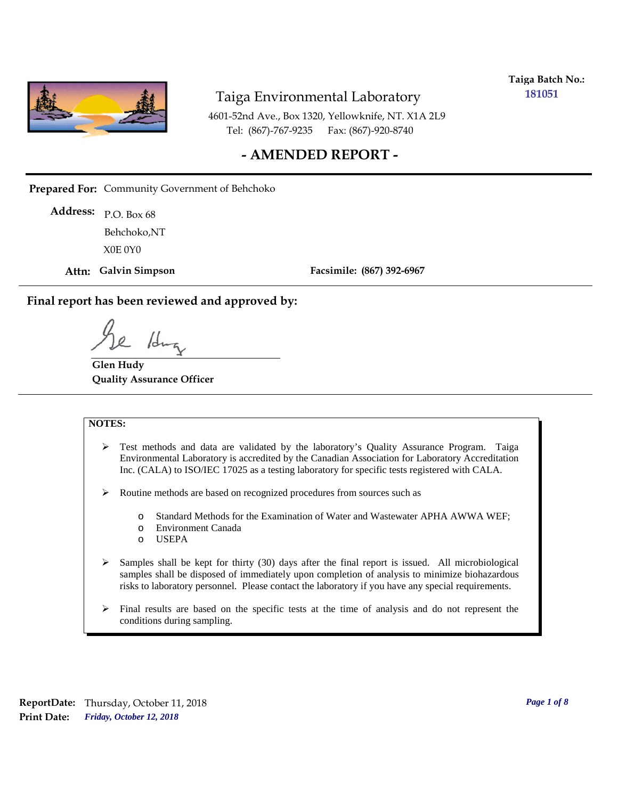

**Taiga Batch No.: 181051**

4601-52nd Ave., Box 1320, Yellowknife, NT. X1A 2L9 Tel: (867)-767-9235 Fax: (867)-920-8740

#### **- AMENDED REPORT -**

**Prepared For:** Community Government of Behchoko

P.O. Box 68 **Address:** X0E 0Y0 Behchoko,NT

**Attn: Galvin Simpson**

**Facsimile: (867) 392-6967**

**Final report has been reviewed and approved by:**

1da

**Glen Hudy Quality Assurance Officer**

#### **NOTES:**

- $\triangleright$  Test methods and data are validated by the laboratory's Quality Assurance Program. Taiga Environmental Laboratory is accredited by the Canadian Association for Laboratory Accreditation Inc. (CALA) to ISO/IEC 17025 as a testing laboratory for specific tests registered with CALA.
- Routine methods are based on recognized procedures from sources such as
	- o Standard Methods for the Examination of Water and Wastewater APHA AWWA WEF;
	- o Environment Canada
	- o USEPA
- $\triangleright$  Samples shall be kept for thirty (30) days after the final report is issued. All microbiological samples shall be disposed of immediately upon completion of analysis to minimize biohazardous risks to laboratory personnel. Please contact the laboratory if you have any special requirements.
- $\triangleright$  Final results are based on the specific tests at the time of analysis and do not represent the conditions during sampling.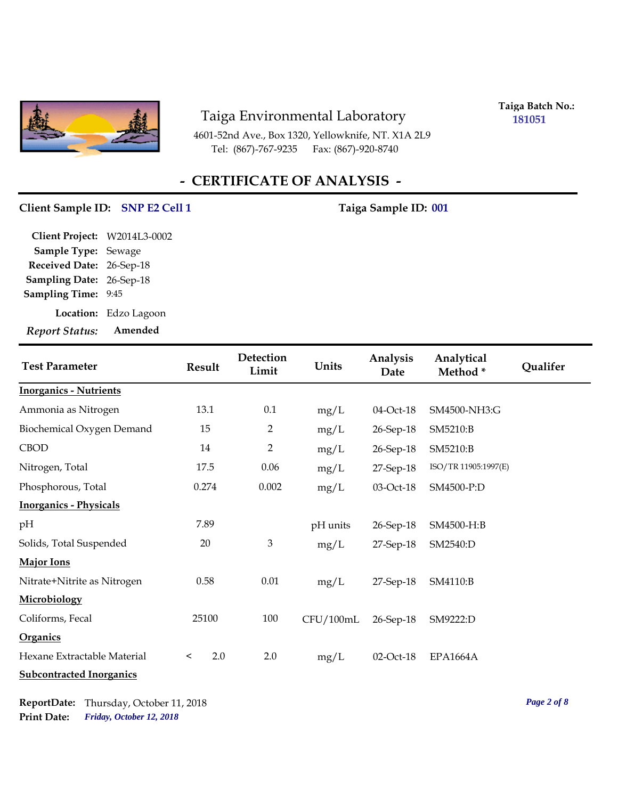

4601-52nd Ave., Box 1320, Yellowknife, NT. X1A 2L9 Tel: (867)-767-9235 Fax: (867)-920-8740

**Taiga Batch No.: 181051**

### **- CERTIFICATE OF ANALYSIS -**

#### Client Sample ID: SNP E2 Cell 1 Taiga Sample ID: 001

| <b>Report Status:</b>        | Amended               |
|------------------------------|-----------------------|
|                              | Location: Edzo Lagoon |
| <b>Sampling Time: 9:45</b>   |                       |
| Sampling Date: 26-Sep-18     |                       |
| Received Date: 26-Sep-18     |                       |
| <b>Sample Type: Sewage</b>   |                       |
| Client Project: W2014L3-0002 |                       |

| <b>Test Parameter</b>           | <b>Result</b>  | Detection<br>Limit | Units     | Analysis<br>Date | Analytical<br>Method* | Qualifer |
|---------------------------------|----------------|--------------------|-----------|------------------|-----------------------|----------|
| <b>Inorganics - Nutrients</b>   |                |                    |           |                  |                       |          |
| Ammonia as Nitrogen             | 13.1           | 0.1                | mg/L      | 04-Oct-18        | SM4500-NH3:G          |          |
| Biochemical Oxygen Demand       | 15             | 2                  | mg/L      | 26-Sep-18        | SM5210:B              |          |
| <b>CBOD</b>                     | 14             | $\overline{2}$     | mg/L      | 26-Sep-18        | SM5210:B              |          |
| Nitrogen, Total                 | 17.5           | 0.06               | mg/L      | 27-Sep-18        | ISO/TR 11905:1997(E)  |          |
| Phosphorous, Total              | 0.274          | 0.002              | mg/L      | 03-Oct-18        | SM4500-P:D            |          |
| <b>Inorganics - Physicals</b>   |                |                    |           |                  |                       |          |
| pH                              | 7.89           |                    | pH units  | 26-Sep-18        | SM4500-H:B            |          |
| Solids, Total Suspended         | 20             | 3                  | mg/L      | 27-Sep-18        | SM2540:D              |          |
| Major Ions                      |                |                    |           |                  |                       |          |
| Nitrate+Nitrite as Nitrogen     | 0.58           | 0.01               | mg/L      | 27-Sep-18        | SM4110:B              |          |
| Microbiology                    |                |                    |           |                  |                       |          |
| Coliforms, Fecal                | 25100          | 100                | CFU/100mL | 26-Sep-18        | SM9222:D              |          |
| Organics                        |                |                    |           |                  |                       |          |
| Hexane Extractable Material     | 2.0<br>$\,<\,$ | 2.0                | mg/L      | 02-Oct-18        | <b>EPA1664A</b>       |          |
| <b>Subcontracted Inorganics</b> |                |                    |           |                  |                       |          |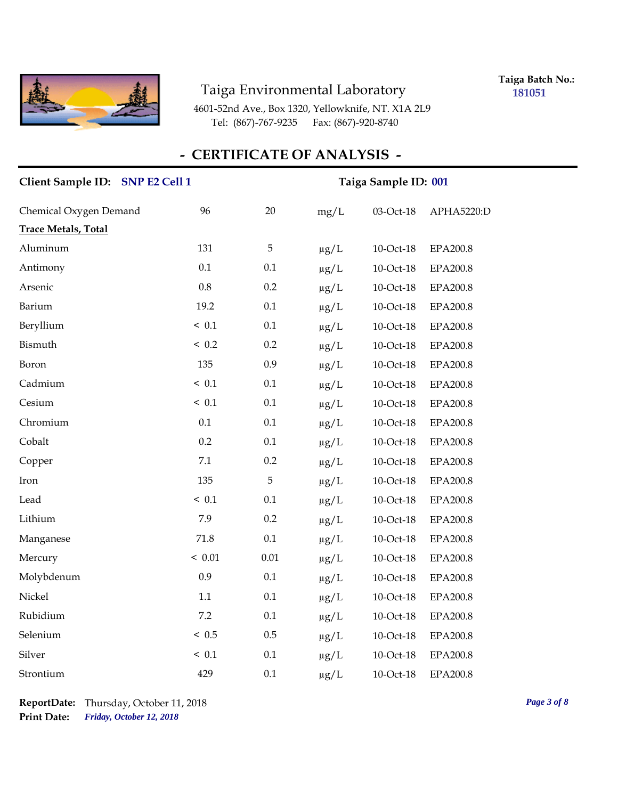

**Taiga Batch No.: 181051**

4601-52nd Ave., Box 1320, Yellowknife, NT. X1A 2L9 Tel: (867)-767-9235 Fax: (867)-920-8740

### **- CERTIFICATE OF ANALYSIS -**

| Client Sample ID: SNP E2 Cell 1 | Taiga Sample ID: 001 |          |           |           |                 |
|---------------------------------|----------------------|----------|-----------|-----------|-----------------|
| Chemical Oxygen Demand          | 96                   | 20       | mg/L      | 03-Oct-18 | APHA5220:D      |
| <b>Trace Metals, Total</b>      |                      |          |           |           |                 |
| Aluminum                        | 131                  | 5        | $\mu$ g/L | 10-Oct-18 | EPA200.8        |
| Antimony                        | 0.1                  | 0.1      | $\mu g/L$ | 10-Oct-18 | EPA200.8        |
| Arsenic                         | 0.8                  | 0.2      | $\mu g/L$ | 10-Oct-18 | EPA200.8        |
| Barium                          | 19.2                 | $0.1\,$  | $\mu g/L$ | 10-Oct-18 | <b>EPA200.8</b> |
| Beryllium                       | ~< 0.1               | 0.1      | $\mu g/L$ | 10-Oct-18 | EPA200.8        |
| Bismuth                         | < 0.2                | 0.2      | $\mu g/L$ | 10-Oct-18 | EPA200.8        |
| Boron                           | 135                  | 0.9      | $\mu g/L$ | 10-Oct-18 | <b>EPA200.8</b> |
| Cadmium                         | < 0.1                | 0.1      | $\mu g/L$ | 10-Oct-18 | EPA200.8        |
| Cesium                          | ~< 0.1               | $0.1\,$  | $\mu g/L$ | 10-Oct-18 | EPA200.8        |
| Chromium                        | 0.1                  | 0.1      | $\mu g/L$ | 10-Oct-18 | <b>EPA200.8</b> |
| Cobalt                          | 0.2                  | 0.1      | $\mu g/L$ | 10-Oct-18 | EPA200.8        |
| Copper                          | 7.1                  | 0.2      | $\mu g/L$ | 10-Oct-18 | <b>EPA200.8</b> |
| Iron                            | 135                  | 5        | $\mu g/L$ | 10-Oct-18 | <b>EPA200.8</b> |
| Lead                            | < 0.1                | 0.1      | $\mu g/L$ | 10-Oct-18 | EPA200.8        |
| Lithium                         | 7.9                  | 0.2      | $\mu g/L$ | 10-Oct-18 | <b>EPA200.8</b> |
| Manganese                       | 71.8                 | 0.1      | $\mu g/L$ | 10-Oct-18 | EPA200.8        |
| Mercury                         | < 0.01               | $0.01\,$ | $\mu$ g/L | 10-Oct-18 | EPA200.8        |
| Molybdenum                      | 0.9                  | 0.1      | $\mu g/L$ | 10-Oct-18 | <b>EPA200.8</b> |
| Nickel                          | 1.1                  | 0.1      | $\mu g/L$ | 10-Oct-18 | EPA200.8        |
| Rubidium                        | 7.2                  | 0.1      | $\mu g/L$ | 10-Oct-18 | <b>EPA200.8</b> |
| Selenium                        | ~< 0.5               | 0.5      | $\mu g/L$ | 10-Oct-18 | EPA200.8        |
| Silver                          | < 0.1                | 0.1      | $\mu g/L$ | 10-Oct-18 | EPA200.8        |
| Strontium                       | 429                  | 0.1      | $\mu$ g/L | 10-Oct-18 | <b>EPA200.8</b> |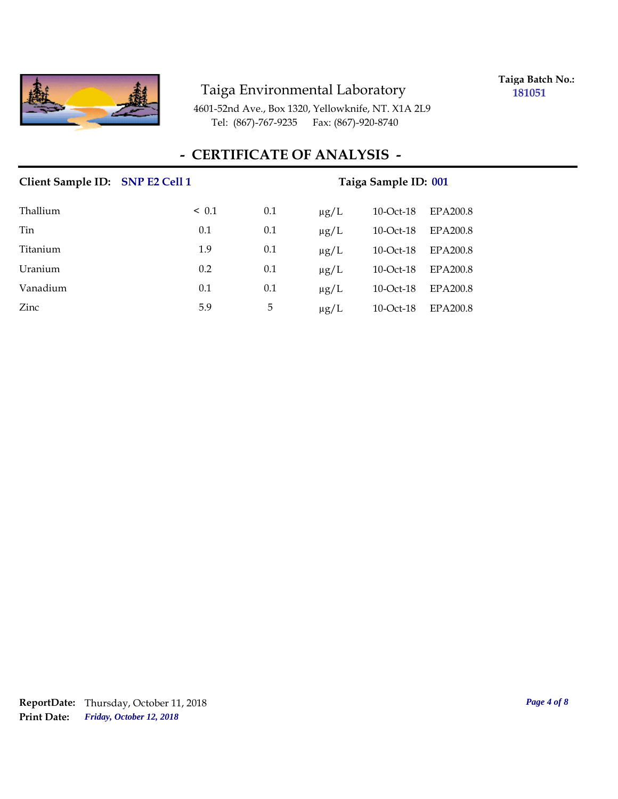

**Taiga Batch No.: 181051**

4601-52nd Ave., Box 1320, Yellowknife, NT. X1A 2L9 Tel: (867)-767-9235 Fax: (867)-920-8740

#### **- CERTIFICATE OF ANALYSIS -**

## Client Sample ID: SNP E2 Cell 1 Taiga Sample ID: 001 Thallium  $\leq 0.1$   $0.1$   $\mu$ g/L  $10$ -Oct-18 EPA200.8 Tin 10-Oct-18 EPA200.8 Titanium 1.9 0.1 µg/L 10-Oct-18 EPA200.8 Uranium 0.2 0.1 µg/L 10-Oct-18 EPA200.8 Vanadium 10.1 0.1  $\mu$ g/L 10-Oct-18 EPA200.8 Zinc 5.9 5 μg/L 10-Oct-18 EPA200.8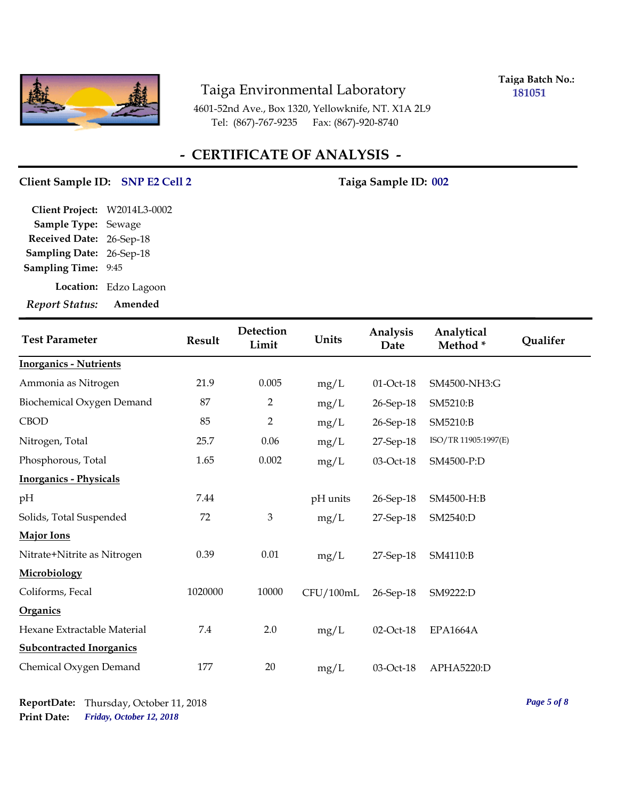

**Taiga Batch No.: 181051**

4601-52nd Ave., Box 1320, Yellowknife, NT. X1A 2L9 Tel: (867)-767-9235 Fax: (867)-920-8740

### **- CERTIFICATE OF ANALYSIS -**

### Client Sample ID: SNP E2 Cell 2 Taiga Sample ID: 002

| Location: Edzo Lagoon        |
|------------------------------|
|                              |
|                              |
| Sampling Date: 26-Sep-18     |
| Received Date: 26-Sep-18     |
|                              |
| Client Project: W2014L3-0002 |
|                              |

| <b>Test Parameter</b>           | <b>Result</b> | Detection<br>Limit | Units     | Analysis<br>Date | Analytical<br>Method* | Qualifer |
|---------------------------------|---------------|--------------------|-----------|------------------|-----------------------|----------|
| <b>Inorganics - Nutrients</b>   |               |                    |           |                  |                       |          |
| Ammonia as Nitrogen             | 21.9          | 0.005              | mg/L      | 01-Oct-18        | SM4500-NH3:G          |          |
| Biochemical Oxygen Demand       | 87            | $\overline{2}$     | mg/L      | 26-Sep-18        | SM5210:B              |          |
| <b>CBOD</b>                     | 85            | $\overline{2}$     | mg/L      | 26-Sep-18        | SM5210:B              |          |
| Nitrogen, Total                 | 25.7          | 0.06               | mg/L      | 27-Sep-18        | ISO/TR 11905:1997(E)  |          |
| Phosphorous, Total              | 1.65          | 0.002              | mg/L      | 03-Oct-18        | SM4500-P:D            |          |
| <b>Inorganics - Physicals</b>   |               |                    |           |                  |                       |          |
| pH                              | 7.44          |                    | pH units  | 26-Sep-18        | SM4500-H:B            |          |
| Solids, Total Suspended         | 72            | 3                  | mg/L      | 27-Sep-18        | SM2540:D              |          |
| Major Ions                      |               |                    |           |                  |                       |          |
| Nitrate+Nitrite as Nitrogen     | 0.39          | $0.01\,$           | mg/L      | 27-Sep-18        | SM4110:B              |          |
| Microbiology                    |               |                    |           |                  |                       |          |
| Coliforms, Fecal                | 1020000       | 10000              | CFU/100mL | 26-Sep-18        | SM9222:D              |          |
| <b>Organics</b>                 |               |                    |           |                  |                       |          |
| Hexane Extractable Material     | 7.4           | 2.0                | mg/L      | 02-Oct-18        | <b>EPA1664A</b>       |          |
| <b>Subcontracted Inorganics</b> |               |                    |           |                  |                       |          |
| Chemical Oxygen Demand          | 177           | 20                 | mg/L      | 03-Oct-18        | APHA5220:D            |          |

*Friday, October 12, 2018* **Print Date: ReportDate:** Thursday, October 11, 2018 *Page 5 of 8*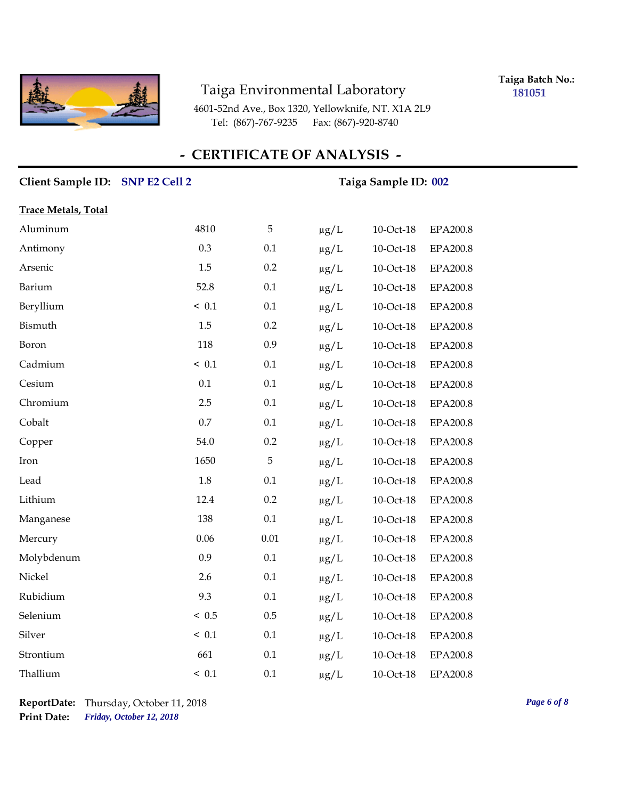

**Taiga Batch No.: 181051**

4601-52nd Ave., Box 1320, Yellowknife, NT. X1A 2L9 Tel: (867)-767-9235 Fax: (867)-920-8740

#### **- CERTIFICATE OF ANALYSIS -**

## Client Sample ID: SNP E2 Cell 2 Taiga Sample ID: 002 **Trace Metals, Total** Aluminum 1810 5 µg/L 10-Oct-18 EPA200.8 Antimony 0.3 0.1 μg/L 10-Oct-18 EPA200.8 Arsenic 1.5 0.2 µg/L 10-Oct-18 EPA200.8 Barium 52.8 0.1 µg/L 10-Oct-18 EPA200.8 Beryllium  $\leq 0.1$   $0.1$   $\mu g/L$   $10$ -Oct-18 EPA200.8 Bismuth 1.5 0.2 µg/L 10-Oct-18 EPA200.8 Boron 118 0.9 µg/L 10-Oct-18 EPA200.8  $\text{Cadmium}$   $\leq 0.1$   $\text{u}g/L$   $\leq 10\text{-Oct-18}$  EPA200.8 Cesium 0.1 0.1 µg/L 10-Oct-18 EPA200.8 Chromium 2.5 0.1 µg/L 10-Oct-18 EPA200.8 Cobalt 0.7 0.1 μg/L 10-Oct-18 EPA200.8 Copper 54.0 0.2 µg/L 10-Oct-18 EPA200.8 Iron 1650 5 μg/L 10-Oct-18 EPA200.8 Lead 1.8 0.1  $\mu g/L$  10-Oct-18 EPA200.8 Lithium 12.4 0.2 µg/L 10-Oct-18 EPA200.8 Manganese 138 0.1 μg/L 10-Oct-18 EPA200.8 Mercury 0.06 0.01 µg/L 10-Oct-18 EPA200.8 Molybdenum 0.9 0.1 µg/L 10-Oct-18 EPA200.8 Nickel 2.6 0.1 µg/L 10-Oct-18 EPA200.8 Rubidium 9.3 0.1 µg/L 10-Oct-18 EPA200.8 Selenium < 0.5 0.5 µg/L 10-Oct-18 EPA200.8 Silver  $\leq 0.1$   $0.1$   $\mu g/L$   $10$ -Oct-18 EPA200.8 Strontium 661 0.1 µg/L 10-Oct-18 EPA200.8 Thallium  $\leq 0.1$   $0.1$   $\mu$ g/L  $10$ -Oct-18 EPA200.8

*Friday, October 12, 2018* **Print Date: ReportDate:** Thursday, October 11, 2018 *Page 6 of 8*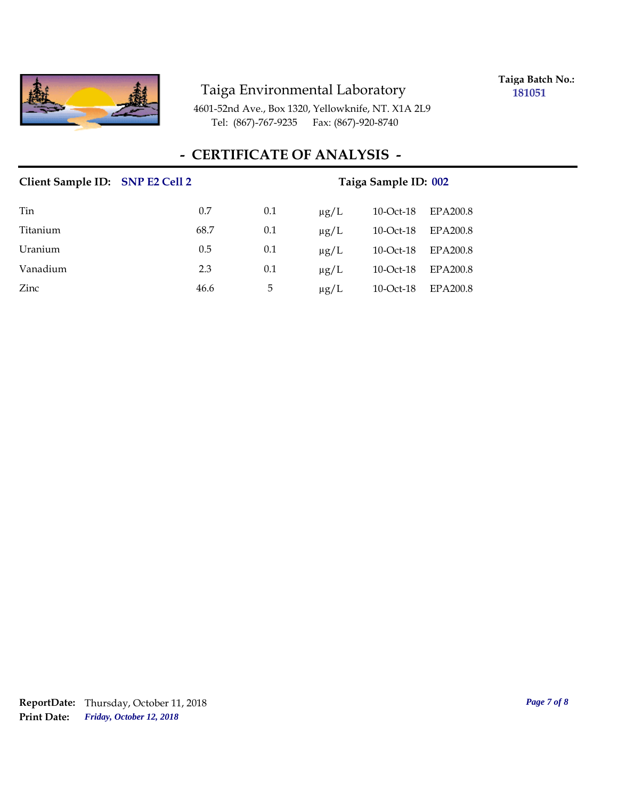

**Taiga Batch No.: 181051**

4601-52nd Ave., Box 1320, Yellowknife, NT. X1A 2L9 Tel: (867)-767-9235 Fax: (867)-920-8740

#### **- CERTIFICATE OF ANALYSIS -**

# Client Sample ID: SNP E2 Cell 2 Taiga Sample ID: 002 Tin 0.7 0.1 µg/L 10-Oct-18 EPA200.8 Titanium 68.7 0.1 µg/L 10-Oct-18 EPA200.8 Uranium 10.5 0.5 0.1  $\mu$ g/L 10-Oct-18 EPA200.8 Vanadium 2.3 0.1 µg/L 10-Oct-18 EPA200.8  $\mu$  and  $\mu$  and  $\mu$  and  $\mu$  and  $\mu$  and  $\mu$  and  $\mu$  and  $\mu$  and  $\mu$  and  $\mu$  and  $\mu$  and  $\mu$  and  $\mu$  and  $\mu$  and  $\mu$  and  $\mu$  and  $\mu$  and  $\mu$  and  $\mu$  and  $\mu$  and  $\mu$  and  $\mu$  and  $\mu$  and  $\mu$  and  $\mu$